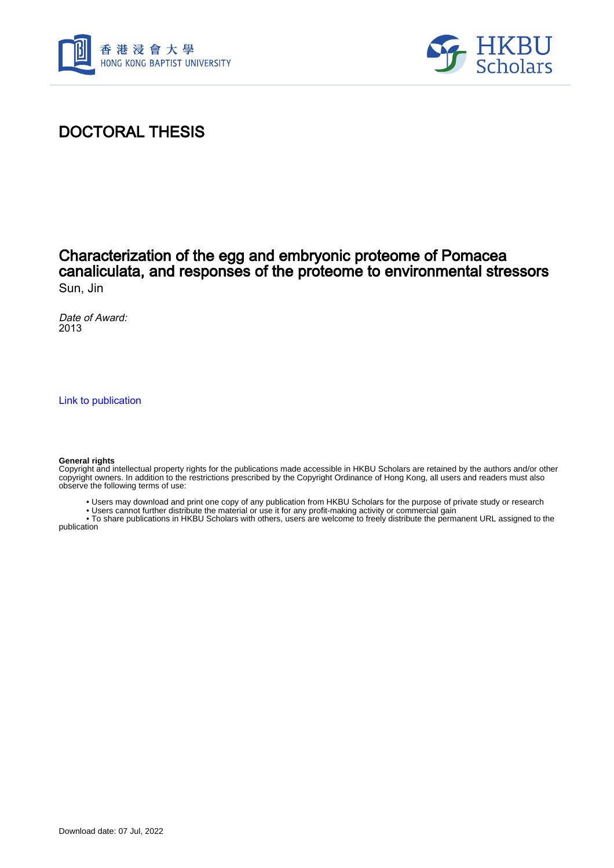



# DOCTORAL THESIS

### Characterization of the egg and embryonic proteome of Pomacea canaliculata, and responses of the proteome to environmental stressors Sun, Jin

Date of Award: 2013

[Link to publication](https://scholars.hkbu.edu.hk/en/studentTheses/2cc6057d-1262-41ae-a0e5-30fd89efad0e)

#### **General rights**

Copyright and intellectual property rights for the publications made accessible in HKBU Scholars are retained by the authors and/or other copyright owners. In addition to the restrictions prescribed by the Copyright Ordinance of Hong Kong, all users and readers must also observe the following terms of use:

- Users may download and print one copy of any publication from HKBU Scholars for the purpose of private study or research
- Users cannot further distribute the material or use it for any profit-making activity or commercial gain

 • To share publications in HKBU Scholars with others, users are welcome to freely distribute the permanent URL assigned to the publication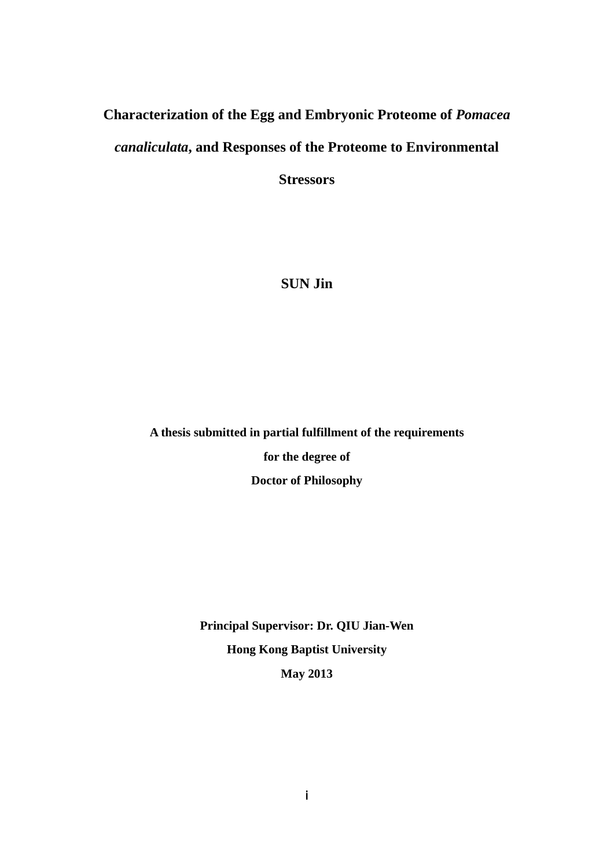## **Characterization of the Egg and Embryonic Proteome of** *Pomacea*

### *canaliculata***, and Responses of the Proteome to Environmental**

**Stressors** 

## **SUN Jin**

**A thesis submitted in partial fulfillment of the requirements** 

**for the degree of** 

**Doctor of Philosophy** 

**Principal Supervisor: Dr. QIU Jian-Wen Hong Kong Baptist University May 2013**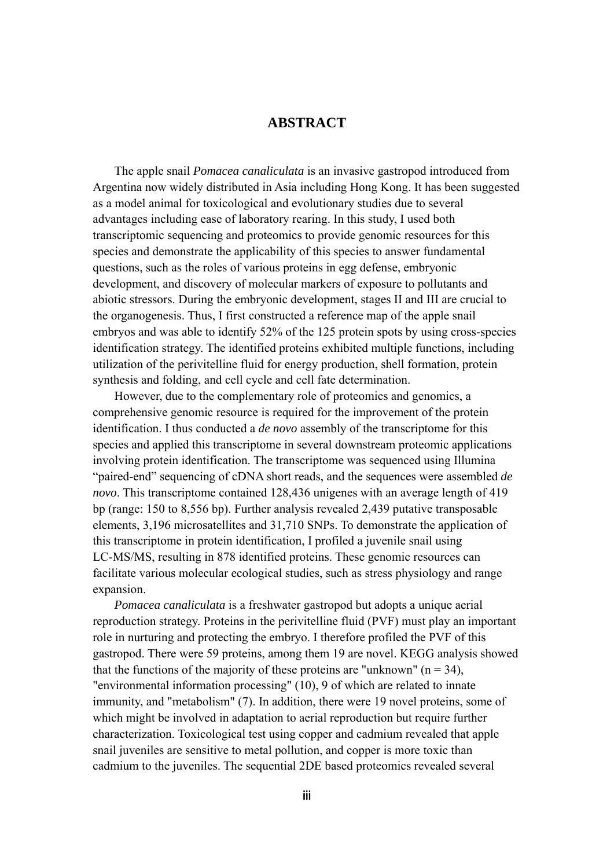#### **ABSTRACT**

The apple snail *Pomacea canaliculata* is an invasive gastropod introduced from Argentina now widely distributed in Asia including Hong Kong. It has been suggested as a model animal for toxicological and evolutionary studies due to several advantages including ease of laboratory rearing. In this study, I used both transcriptomic sequencing and proteomics to provide genomic resources for this species and demonstrate the applicability of this species to answer fundamental questions, such as the roles of various proteins in egg defense, embryonic development, and discovery of molecular markers of exposure to pollutants and abiotic stressors. During the embryonic development, stages II and III are crucial to the organogenesis. Thus, I first constructed a reference map of the apple snail embryos and was able to identify 52% of the 125 protein spots by using cross-species identification strategy. The identified proteins exhibited multiple functions, including utilization of the perivitelline fluid for energy production, shell formation, protein synthesis and folding, and cell cycle and cell fate determination.

However, due to the complementary role of proteomics and genomics, a comprehensive genomic resource is required for the improvement of the protein identification. I thus conducted a *de novo* assembly of the transcriptome for this species and applied this transcriptome in several downstream proteomic applications involving protein identification. The transcriptome was sequenced using Illumina "paired-end" sequencing of cDNA short reads, and the sequences were assembled *de novo*. This transcriptome contained 128,436 unigenes with an average length of 419 bp (range: 150 to 8,556 bp). Further analysis revealed 2,439 putative transposable elements, 3,196 microsatellites and 31,710 SNPs. To demonstrate the application of this transcriptome in protein identification, I profiled a juvenile snail using LC-MS/MS, resulting in 878 identified proteins. These genomic resources can facilitate various molecular ecological studies, such as stress physiology and range expansion.

*Pomacea canaliculata* is a freshwater gastropod but adopts a unique aerial reproduction strategy. Proteins in the perivitelline fluid (PVF) must play an important role in nurturing and protecting the embryo. I therefore profiled the PVF of this gastropod. There were 59 proteins, among them 19 are novel. KEGG analysis showed that the functions of the majority of these proteins are "unknown" ( $n = 34$ ), "environmental information processing" (10), 9 of which are related to innate immunity, and "metabolism" (7). In addition, there were 19 novel proteins, some of which might be involved in adaptation to aerial reproduction but require further characterization. Toxicological test using copper and cadmium revealed that apple snail juveniles are sensitive to metal pollution, and copper is more toxic than cadmium to the juveniles. The sequential 2DE based proteomics revealed several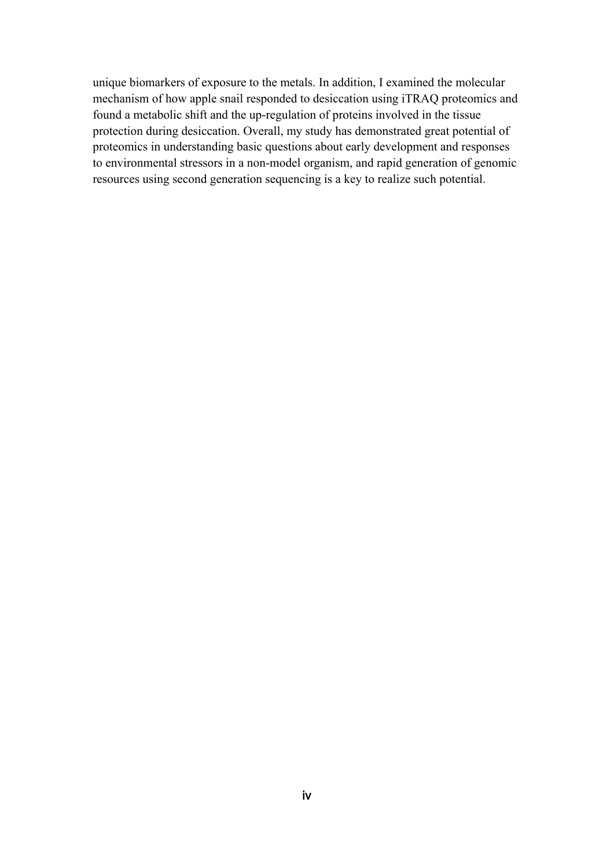unique biomarkers of exposure to the metals. In addition, I examined the molecular mechanism of how apple snail responded to desiccation using iTRAQ proteomics and found a metabolic shift and the up-regulation of proteins involved in the tissue protection during desiccation. Overall, my study has demonstrated great potential of proteomics in understanding basic questions about early development and responses to environmental stressors in a non-model organism, and rapid generation of genomic resources using second generation sequencing is a key to realize such potential.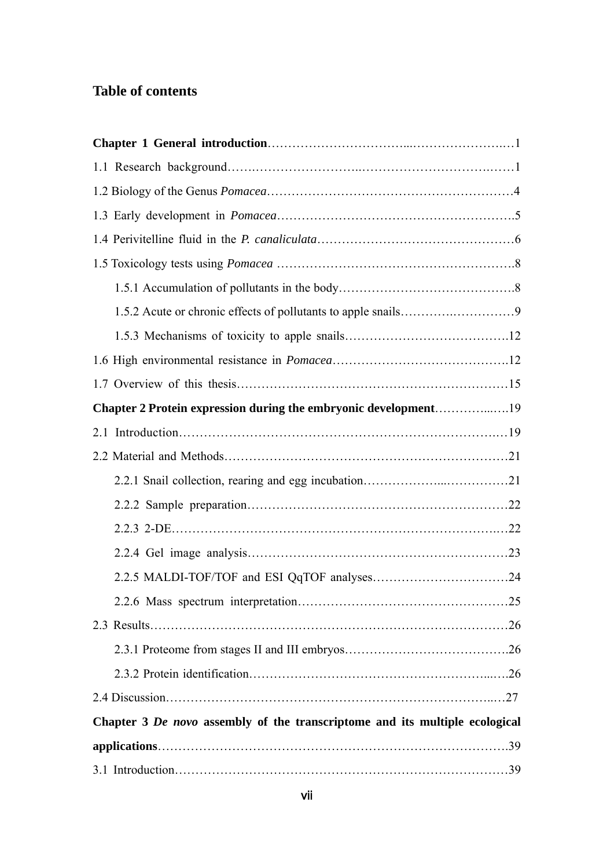# **Table of contents**

| Chapter 2 Protein expression during the embryonic development19             |  |
|-----------------------------------------------------------------------------|--|
|                                                                             |  |
|                                                                             |  |
|                                                                             |  |
|                                                                             |  |
|                                                                             |  |
|                                                                             |  |
|                                                                             |  |
|                                                                             |  |
|                                                                             |  |
|                                                                             |  |
|                                                                             |  |
|                                                                             |  |
| Chapter 3 De novo assembly of the transcriptome and its multiple ecological |  |
|                                                                             |  |
|                                                                             |  |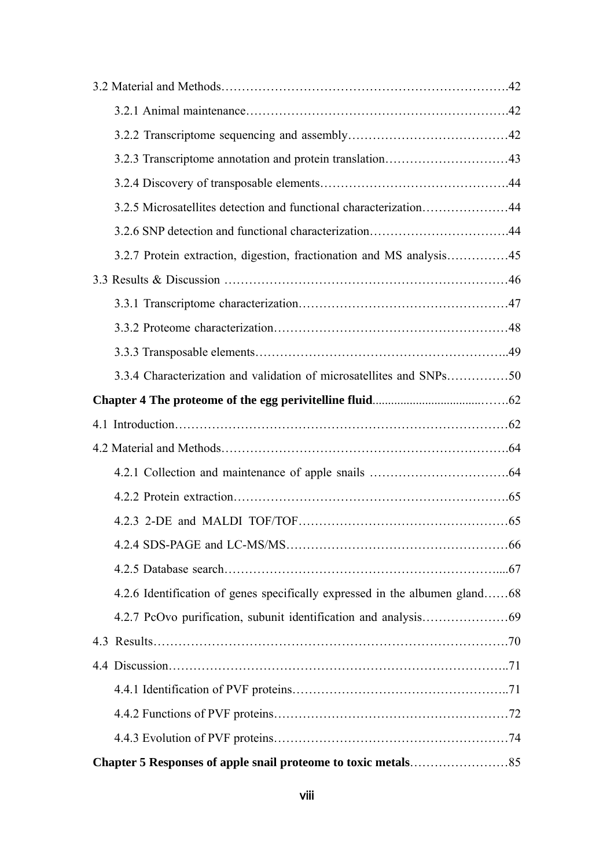| 3.2.5 Microsatellites detection and functional characterization44           |  |
|-----------------------------------------------------------------------------|--|
|                                                                             |  |
|                                                                             |  |
|                                                                             |  |
|                                                                             |  |
|                                                                             |  |
|                                                                             |  |
| 3.3.4 Characterization and validation of microsatellites and SNPs50         |  |
|                                                                             |  |
|                                                                             |  |
|                                                                             |  |
|                                                                             |  |
|                                                                             |  |
|                                                                             |  |
|                                                                             |  |
|                                                                             |  |
| 4.2.6 Identification of genes specifically expressed in the albumen gland68 |  |
|                                                                             |  |
|                                                                             |  |
|                                                                             |  |
|                                                                             |  |
|                                                                             |  |
|                                                                             |  |
|                                                                             |  |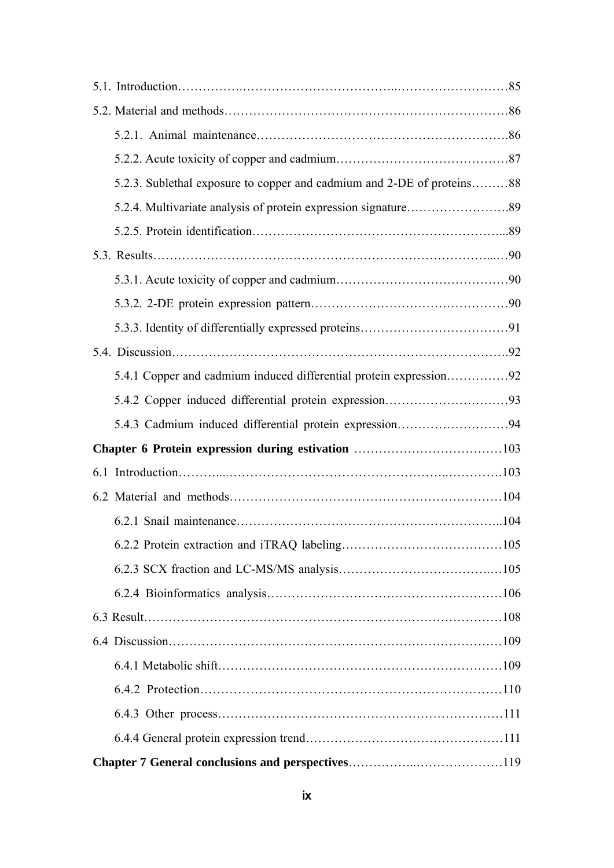| 5.2.3. Sublethal exposure to copper and cadmium and 2-DE of proteins88 |  |
|------------------------------------------------------------------------|--|
|                                                                        |  |
|                                                                        |  |
|                                                                        |  |
|                                                                        |  |
|                                                                        |  |
|                                                                        |  |
|                                                                        |  |
| 5.4.1 Copper and cadmium induced differential protein expression92     |  |
|                                                                        |  |
| 5.4.3 Cadmium induced differential protein expression94                |  |
|                                                                        |  |
|                                                                        |  |
|                                                                        |  |
|                                                                        |  |
|                                                                        |  |
|                                                                        |  |
|                                                                        |  |
|                                                                        |  |
|                                                                        |  |
|                                                                        |  |
|                                                                        |  |
|                                                                        |  |
|                                                                        |  |
|                                                                        |  |